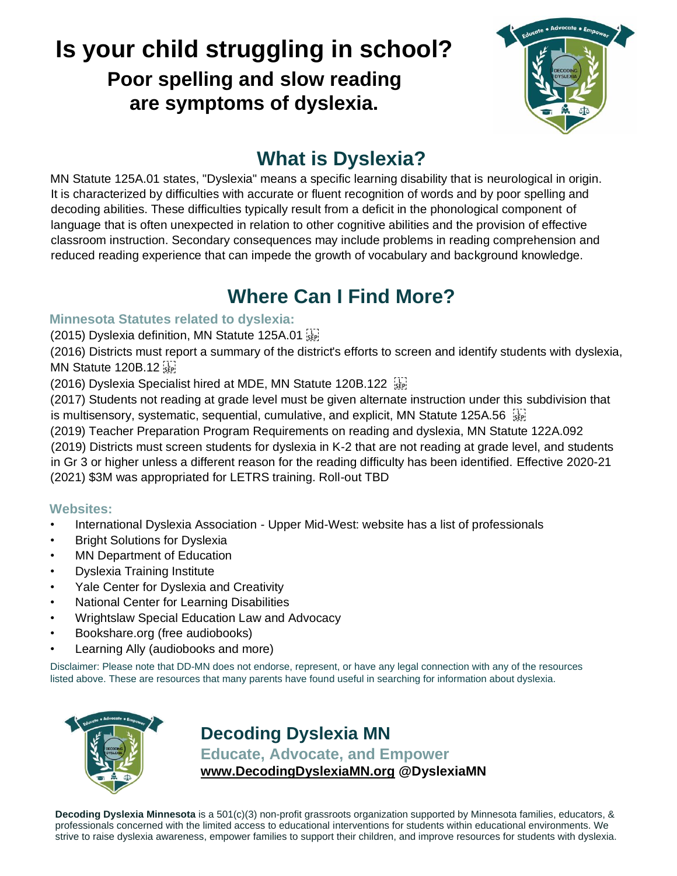# **Is your child struggling in school? Poor spelling and slow reading are symptoms of dyslexia.**



# **What is Dyslexia?**

MN Statute 125A.01 states, "Dyslexia" means a specific learning disability that is neurological in origin. It is characterized by difficulties with accurate or fluent recognition of words and by poor spelling and decoding abilities. These difficulties typically result from a deficit in the phonological component of language that is often unexpected in relation to other cognitive abilities and the provision of effective classroom instruction. Secondary consequences may include problems in reading comprehension and reduced reading experience that can impede the growth of vocabulary and background knowledge.

# **Where Can I Find More?**

#### **Minnesota Statutes related to dyslexia:**

(2015) Dyslexia definition, MN Statute 125A.01

(2016) Districts must report a summary of the district's efforts to screen and identify students with dyslexia, MN Statute 120B.12

(2016) Dyslexia Specialist hired at MDE, MN Statute 120B.122

(2017) Students not reading at grade level must be given alternate instruction under this subdivision that is multisensory, systematic, sequential, cumulative, and explicit, MN Statute 125A.56

(2019) Teacher Preparation Program Requirements on reading and dyslexia, MN Statute 122A.092 (2019) Districts must screen students for dyslexia in K-2 that are not reading at grade level, and students in Gr 3 or higher unless a different reason for the reading difficulty has been identified. Effective 2020-21 (2021) \$3M was appropriated for LETRS training. Roll-out TBD

### **Websites:**

- International Dyslexia Association Upper Mid-West: website has a list of professionals
- **Bright Solutions for Dyslexia**
- MN Department of Education
- Dyslexia Training Institute
- Yale Center for Dyslexia and Creativity
- National Center for Learning Disabilities
- Wrightslaw Special Education Law and Advocacy
- Bookshare.org (free audiobooks)
- Learning Ally (audiobooks and more)

Disclaimer: Please note that DD-MN does not endorse, represent, or have any legal connection with any of the resources listed above. These are resources that many parents have found useful in searching for information about dyslexia.



**Decoding Dyslexia MN Educate, Advocate, and Empower [www.DecodingDyslexiaMN.org](http://www.decodingdyslexiamn.org/) @DyslexiaMN**

**Decoding Dyslexia Minnesota** is a 501(c)(3) non-profit grassroots organization supported by Minnesota families, educators, & professionals concerned with the limited access to educational interventions for students within educational environments. We strive to raise dyslexia awareness, empower families to support their children, and improve resources for students with dyslexia.